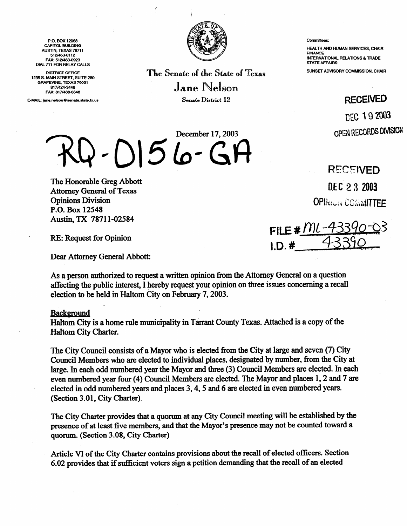P.O. Box 12088 CAPITOL BUILDING AUSTIN. TEXAS 78711 512/483-0112 FAX: 512/463-0923 DIAL 711 FOR REIAY CALLS

DISTRICT OFFICE 1235 S. MAIN STREET, SUITE 280 GRAPEVINE. TEXAS 78051 817i424-3448 FAX: 817/488-6648

E-MAIL: jane.nelson@senate.state.tx.us



The Senate of the State of Texas Jane Nelson Senate District 12

December 17,2003

**001510-GG** 

### Committees:

HEALTH AND HUMAN SERVICES. CHAIR FINANCE INTERNATIONAL REIATIONS 8 TRADE STATE AFFAIRS

SUNSET ADVISORY COMMISSION, CHAIR

# **RECEIVED**

DEC 19 2003 OPEN RECORDS DIVISION

The Honorable Greg Abbott Attorney General of Texas Opinions Division P.O. Box 12548 Austin, TX 7871 l-02584

RE: Request for Opinion

Dear Attorney General Abbott:

As a person authorized to request a written opinion from the Attorney General on a question affecting the public interest, I hereby request your opinion on three issues concerning a recall election to be held in Haltom City on February 7,2003.

### **Background**

Haltom City is a home rule municipality in Tarrant County Texas. Attached is a copy of the Haltom City Charter.

The City Council consists of a Mayor who is elected from the City at large and seven (7) City Council Members who are elected to individual places, designated by number, from the City at large. In each odd numbered year the Mayor and three (3) Council Members are elected. In each even numbered year four (4) Council Members are elected. The Mayor and places 1,2 and 7 are elected in odd numbered years and places 3,4,5 and 6 are elected in even numbered years. (Section 3.01, City Charter).

The City Charter provides that a quorum at any City Council meeting will be established by the presence of at least five members, and that the Mayor's presence may not be counted toward a quorum. (Section 3.08, City Charter)

Article VI of the City Charter contains provisions about the recall of elected officers. Section 6.02 provides that if sufficient voters sign a petition demanding that the recall of an elected

**R'ECEtVED** 

DEC 23 2003

**OPINICIA COMMITTEE** 

FILE #  $M$ .  $1D.$ #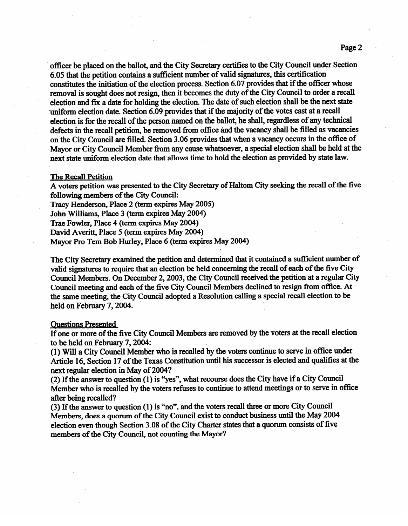. officer be placed on the ballot, and the City Secretary certifies to the City Council under Section 6.05 that the petition contains a sufficient number of valid signatures, this certification constitutes the initiation of the election process. Section 6.07 provides that if the officer whose removal is sought does not resign, then it becomes the duty of the City Council to order a recall election and fix a date for holding the election. The date of such election shall be the next state uniform election date. Section 6.09 provides that if the majority of the votes cast at a recall election is for the recall of the person named on the ballot, he shall, regardless of any technical defects in the recall petition, be removed from office and the vacancy shall be filled as vacancies on the City Council are filled. Section 3.06 provides that when a vacancy occurs in the office of Mayor or City Council Member from any cause whatsoever, a special election shall be held at the next state uniform election date that allows time to hold the election as provided by state law.

# The Recall Petition

A voters petition was presented to the City Secretary of Haltom City Seeking the recall of the five following members of the City Council:<br>Tracy Henderson, Place 2 (term expires May 2005)

John Williams, Place 3 (term expires May 2004)

Trae Fowler, Place 4 (term expires May 2004)

David Averitt, Place 5 (term expires May 2004)

David Averitt, Place 5 (term expires May 2004)<br>Mayor Dre Tom Dok Hyrlov Dloog 6 (torm ovnis  $M$ ayor Pro Tem Bob Hurley, Place 6 (term expires  $M$ ay 2004)

The City Secretary examined the petition and determined that it contained a sufficient number of valid signatures to require that an election be held concerning the recall of each of the five City Council Members. On December 2, 2003, the City Council received the petition at a regular City Council meeting and each of the five City Council Members declined to resign from office. At the same meeting, the City Council adopted a Resolution calling a special recall election to be  $t_{\text{total}}$  the same meeting, the City Council adopted a  $\frac{1}{2}$ held on February  $7,2004$ 

Ouestions Presented<br>If one or more of the five City Council Members are removed by the voters at the recall election to be held on February 7, 2004:

(1) Will a City Council Member who is recalled by the voters continue to serve in office under Article 16, Section 17 of the Texas Constitution until his successor is elected and qualifies at the next regular election in May of 2004?

(2) If the answer to question (1) is "yes", what recourse does the City have if a City Council Member who is recalled by the voters refuses to continue to attend meetings or to serve in office after being recalled?

 $(3)$  If the answer to question  $(1)$  is "no", and the voters recall three or more City Council Members, does a quorum of the City Council exist to conduct business until the May 2004 election even though Section 3.08 of the City Charter states that a quorum consists of five members of the City Council, not counting the Mayor?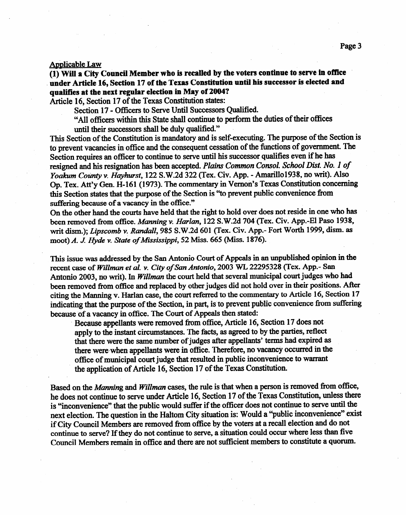## Applicable Law

**(1) Will a City Council Member who is recalled by the voters continue to serve in office under Article 16, Section 17 of the Texas Constitution until his successor is elected and qualifies at the next regular election in May of 2004?** 

Article 16, Section 17 of the Texas Constitution states:<br>Section 17 - Officers to Serve Until Successors Oualified.

 $\text{Section 17}$  - Officers to Serve Until Successors Qualified.

All officers within this state shall continue to perform the duties of their offices

until their successors shall be duly qualified."<br>This Section of the Constitution is mandatory and is self-executing. The purpose of the Section is to prevent vacancies in office and the consequent cessation of the functions of government. The Section requires an officer to continue to serve until his successor qualifies even if he has  $\mathcal{S}$ ection requires an officer to continue to serve until his successor qualifies even if he has resigned and *his* resignation *has been* accepted. *Plains Common Consol. School Dist. No. I of Yoakum County v. Hayhurst*, 122 S.W.2d 322 (Tex. Civ. App. - Amarillo1938, no writ). Also<br>Op. Tex. Att'y Gen. H-161 (1973). The commentary in Vernon's Texas Constitution concerning Op. Tex. Att'y Gen. H-161 (1973). The commentary in Vernon's Texas Constitution concerning this Section states that the purpose of the Section is "to prevent public convenience from

suffering because of a vacancy in the office."<br>On the other hand the courts have held that the right to hold over does not reside in one who has been removed from office. Manning v. Harlan, 122 S.W.2d 704 (Tex. Civ. App.-El Paso 1938. writ dism.): *Lipscomb v. Randall*, 985 S.W.2d 601 (Tex. Civ. App.- Fort Worth 1999, dism. as with dism.); *Dipscomb v. Ramaan*; 985 S.W.2d 601 (Tex. Civ. App. - Sec. World 6999, dism. as moot) *A. J Hyde v. State of Mississippi, 52 Miss. 665 (Miss.* 1876).

This issue was addressed by the San Antonio Court of Appeals in an unpublished opinion in the recent case of Willman et al. v. City of San Antonio, 2003 WL 22295328 (Tex. App.- San Antonio 2003, no writ). In *Willman* the court held that several municipal court judges who had been removed from office and replaced by other judges did not hold over in their positions. After citing the Manning v. Harlan case, the court referred to the commentary to Article 16, Section 17 indicating that the purpose of the Section, in part, is to prevent public convenience from suffering because of a vacancy in office. The Court of Appeals then stated:

Because appellants were removed from office, Article 16, Section 17 does not apply to the instant circumstances. The facts, as agreed to by the parties, reflect that there were the same number of judges after appellants' terms had expired as there were when appellants were in office. Therefore, no vacancy occurred in the office of municipal court judge that resulted in public inconvenience to warrant the application of Article 16, Section 17 of the Texas Constitution.

the application of Article 16, Section 17 of the Texas Constitution.

Based on the *Manning* and *Willman* cases, the rule is that when a person is removed from office, he does not continue to serve under Article 16, Section 17 of the Texas Constitution, unless there is "inconvenience" that the public would suffer if the officer does not continue to serve until the next election. The question in the Haltom City situation is: Would a "public inconvenience" exist if City Council Members are removed from office by the voters at a recall election and do not continue to serve? If they do not continue to serve, a situation could occur where less than five Council Members remain in office and there are not sufficient members to constitute a quorum.

Council Members remain in office and there are not sufkient members to constitute a quorum.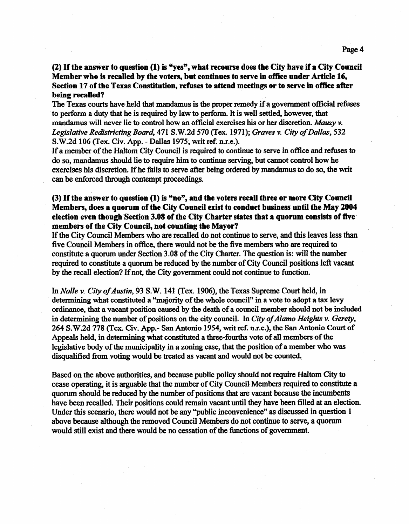## **(2) If the answer to question (1) is "yes", what recourse does the City have if a City Council Member who is recalled by the voters, but continues to serve in office under Article 16, Section 17 of the Texas Constitution, refuses to attend meetings or to serve in office after being recalled?**

The Texas courts have held that mandamus is the proper remedy if a government official refuses to perform a duty that he is required by law to perform. It is well settled, however, that mandamus will never lie to control how an official exercises his or her discretion. Mauzy  $v$ . *Legislative Redistricting Board', 471* S.W.2d 570 (Tex. 1971); Graves v. *City of Dallas,* 532 S.W.2d 106 (Tex. Civ. App. - Dallas 1975, writ ref. n.r.e.).

If a member of the Haltom City Council is required to continue to serve in office and refuses to do so, mandamus should lie to require him to continue serving, but cannot control how he exercises his discretion. If he fails to serve after being ordered by mandamus to do so, the writ can be enforced through contempt proceedings.

# (3) If the answer to question (1) is "no", and the voters recall three or more City Council **Members, does a quorum of the City Council exist to conduct business until the May 2004 election even though Section 3.08 of the City Charter states that a quorum consists of five. members of the City Councii, not counting the Mayor?**

If the City Council Members who are recalled do not continue to serve, and this leaves less than five Council Members in office, there would not be the five members who are required to constitute a quorum under Section 3.08 of the City Charter. The question is: will the number required to constitute a quorum be reduced by the number of City Council positions left vacant by the recall election? If not, the City government could not continue to function.

*In Nalle v. City of Austin, 93 S.* W. 141 (Tex. 1906), the Texas Supreme Court held, in determining what constituted a "majority of the whole council" in a vote to adopt a tax levy ordinance, that a vacant position caused by the death of a council member should not be included in determining the number of positions on the city council. In *City of Alamo Heights v. Gerety*, 264 S.W.2d 778 (Tex. Civ. App.- San Antonio 1954, writ ref. n.r.e.), the San Antonio Court of Appeals held, in determining what constituted a three-fourths vote of all members of the legislative body of the municipality in a zoning case, that the position of a member who was disqualified from voting would be treated as vacant and would not be counted.

Based on the above authorities, and because public policy should not require Haltom City to cease operating, it is arguable that the number of City Council Members required to constitute a quorum should be reduced by the number of positions that are vacant because the incumbents have been recalled. Their positions could remain vacant until they have been filled at an election. Under this scenario, there wouId not be any "public inconvenience" as discussed in question 1 above because although the removed Council Members do not continue to serve, a quorum would still exist and there would be no cessation of the functions of government.